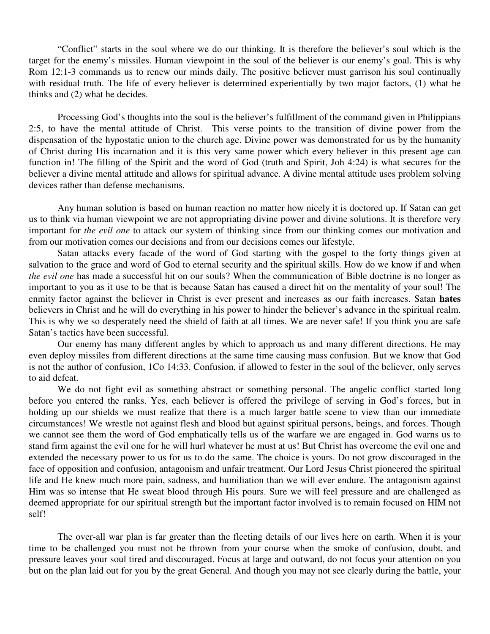"Conflict" starts in the soul where we do our thinking. It is therefore the believer's soul which is the target for the enemy's missiles. Human viewpoint in the soul of the believer is our enemy's goal. This is why Rom 12:1-3 commands us to renew our minds daily. The positive believer must garrison his soul continually with residual truth. The life of every believer is determined experientially by two major factors, (1) what he thinks and (2) what he decides.

Processing God's thoughts into the soul is the believer's fulfillment of the command given in Philippians 2:5, to have the mental attitude of Christ. This verse points to the transition of divine power from the dispensation of the hypostatic union to the church age. Divine power was demonstrated for us by the humanity of Christ during His incarnation and it is this very same power which every believer in this present age can function in! The filling of the Spirit and the word of God (truth and Spirit, Joh 4:24) is what secures for the believer a divine mental attitude and allows for spiritual advance. A divine mental attitude uses problem solving devices rather than defense mechanisms.

Any human solution is based on human reaction no matter how nicely it is doctored up. If Satan can get us to think via human viewpoint we are not appropriating divine power and divine solutions. It is therefore very important for *the evil one* to attack our system of thinking since from our thinking comes our motivation and from our motivation comes our decisions and from our decisions comes our lifestyle.

Satan attacks every facade of the word of God starting with the gospel to the forty things given at salvation to the grace and word of God to eternal security and the spiritual skills. How do we know if and when *the evil one* has made a successful hit on our souls? When the communication of Bible doctrine is no longer as important to you as it use to be that is because Satan has caused a direct hit on the mentality of your soul! The enmity factor against the believer in Christ is ever present and increases as our faith increases. Satan **hates** believers in Christ and he will do everything in his power to hinder the believer's advance in the spiritual realm. This is why we so desperately need the shield of faith at all times. We are never safe! If you think you are safe Satan's tactics have been successful.

Our enemy has many different angles by which to approach us and many different directions. He may even deploy missiles from different directions at the same time causing mass confusion. But we know that God is not the author of confusion, 1Co 14:33. Confusion, if allowed to fester in the soul of the believer, only serves to aid defeat.

We do not fight evil as something abstract or something personal. The angelic conflict started long before you entered the ranks. Yes, each believer is offered the privilege of serving in God's forces, but in holding up our shields we must realize that there is a much larger battle scene to view than our immediate circumstances! We wrestle not against flesh and blood but against spiritual persons, beings, and forces. Though we cannot see them the word of God emphatically tells us of the warfare we are engaged in. God warns us to stand firm against the evil one for he will hurl whatever he must at us! But Christ has overcome the evil one and extended the necessary power to us for us to do the same. The choice is yours. Do not grow discouraged in the face of opposition and confusion, antagonism and unfair treatment. Our Lord Jesus Christ pioneered the spiritual life and He knew much more pain, sadness, and humiliation than we will ever endure. The antagonism against Him was so intense that He sweat blood through His pours. Sure we will feel pressure and are challenged as deemed appropriate for our spiritual strength but the important factor involved is to remain focused on HIM not self!

The over-all war plan is far greater than the fleeting details of our lives here on earth. When it is your time to be challenged you must not be thrown from your course when the smoke of confusion, doubt, and pressure leaves your soul tired and discouraged. Focus at large and outward, do not focus your attention on you but on the plan laid out for you by the great General. And though you may not see clearly during the battle, your